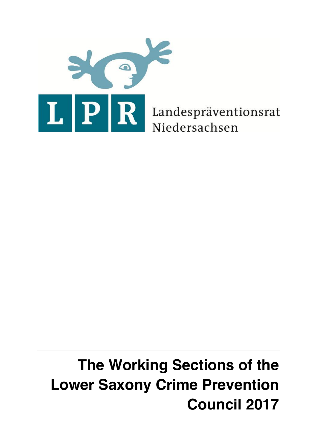

Landespräventionsrat Niedersachsen

# **The Working Sections of the Lower Saxony Crime Prevention Council 2017**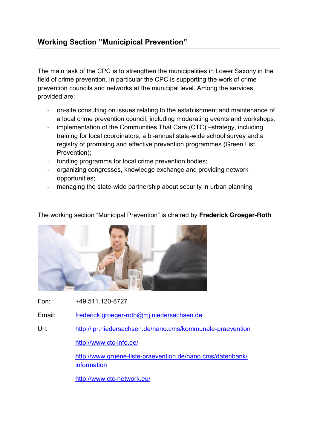The main task of the CPC is to strengthen the municipalities in Lower Saxony in the field of crime prevention. In particular the CPC is supporting the work of crime prevention councils and networks at the municipal level. Among the services provided are:

- on-site consulting on issues relating to the establishment and maintenance of a local crime prevention council, including moderating events and workshops;
- implementation of the Communities That Care (CTC) –strategy, including training for local coordinators, a bi-annual state-wide school survey and a registry of promising and effective prevention programmes (Green List Prevention);
- funding programms for local crime prevention bodies;
- organizing congresses, knowledge exchange and providing network opportunities;
- managing the state-wide partnership about security in urban planning

The working section "Municipal Prevention" is chaired by **Frederick Groeger-Roth**



Fon: +49.511.120-8727

Email: [frederick.groeger-roth@mj.niedersachsen.de](mailto:frederick.groeger-roth@mj.niedersachsen.de)

Url: <http://lpr.niedersachsen.de/nano.cms/kommunale-praevention>

<http://www.ctc-info.de/>

[http://www.gruene-liste-praevention.de/nano.cms/datenbank/](http://www.gruene-liste-praevention.de/nano.cms/datenbank/%20%09%09information)  **[information](http://www.gruene-liste-praevention.de/nano.cms/datenbank/%20%09%09information)** 

<http://www.ctc-network.eu/>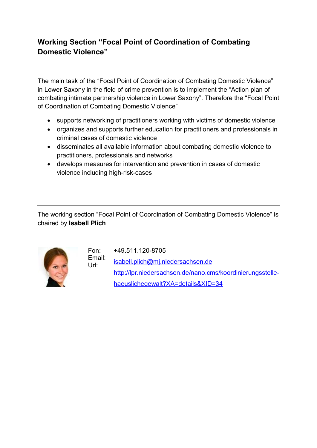# **Working Section "Focal Point of Coordination of Combating Domestic Violence"**

The main task of the "Focal Point of Coordination of Combating Domestic Violence" in Lower Saxony in the field of crime prevention is to implement the "Action plan of combating intimate partnership violence in Lower Saxony". Therefore the "Focal Point of Coordination of Combating Domestic Violence"

- supports networking of practitioners working with victims of domestic violence
- organizes and supports further education for practitioners and professionals in criminal cases of domestic violence
- disseminates all available information about combating domestic violence to practitioners, professionals and networks
- develops measures for intervention and prevention in cases of domestic violence including high-risk-cases

The working section "Focal Point of Coordination of Combating Domestic Violence" is chaired by **Isabell Plich**



Url:

Fon: Email: +49.511.120-8705 [isabell.plich@mj.niedersachsen.de](mailto:isabell.plich@mj.niedersachsen.de) [http://lpr.niedersachsen.de/nano.cms/koordinierungsstelle](http://lpr.niedersachsen.de/nano.cms/koordinierungsstelle-haeuslichegewalt?XA=details&XID=34)[haeuslichegewalt?XA=details&XID=34](http://lpr.niedersachsen.de/nano.cms/koordinierungsstelle-haeuslichegewalt?XA=details&XID=34)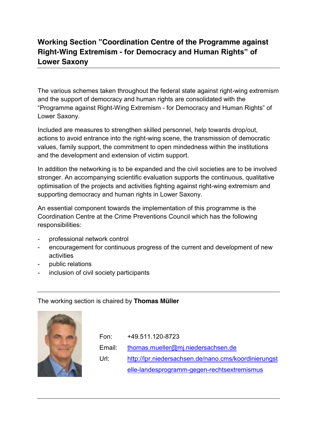# **Working Section "Coordination Centre of the Programme against Right-Wing Extremism - for Democracy and Human Rights" of Lower Saxony**

The various schemes taken throughout the federal state against right-wing extremism and the support of democracy and human rights are consolidated with the "Programme against Right-Wing Extremism - for Democracy and Human Rights" of Lower Saxony.

Included are measures to strengthen skilled personnel, help towards drop/out, actions to avoid entrance into the right-wing scene, the transmission of democratic values, family support, the commitment to open mindedness within the institutions and the development and extension of victim support.

In addition the networking is to be expanded and the civil societies are to be involved stronger. An accompanying scientific evaluation supports the continuous, qualitative optimisation of the projects and activities fighting against right-wing extremism and supporting democracy and human rights in Lower Saxony.

An essential component towards the implementation of this programme is the Coordination Centre at the Crime Preventions Council which has the following responsibilities:

- professional network control
- encouragement for continuous progress of the current and development of new activities
- public relations
- inclusion of civil society participants

The working section is chaired by **Thomas Müller**



Fon: Email: Url: +49.511.120-8723 [thomas.mueller@mj.niedersachsen.de](mailto:thomas.mueller@mj.niedersachsen.de) [http://lpr.niedersachsen.de/nano.cms/koordinierungst](http://lpr.niedersachsen.de/nano.cms/koordinierungstelle-landesprogramm-gegen-rechtsextremismus) [elle-landesprogramm-gegen-rechtsextremismus](http://lpr.niedersachsen.de/nano.cms/koordinierungstelle-landesprogramm-gegen-rechtsextremismus)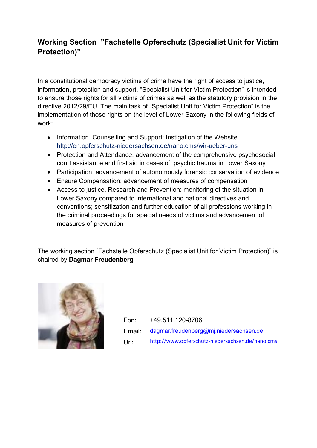# **Working Section "Fachstelle Opferschutz (Specialist Unit for Victim Protection)"**

In a constitutional democracy victims of crime have the right of access to justice, information, protection and support. "Specialist Unit for Victim Protection" is intended to ensure those rights for all victims of crimes as well as the statutory provision in the directive 2012/29/EU. The main task of "Specialist Unit for Victim Protection" is the implementation of those rights on the level of Lower Saxony in the following fields of work:

- Information, Counselling and Support: Instigation of the Website <http://en.opferschutz-niedersachsen.de/nano.cms/wir-ueber-uns>
- Protection and Attendance: advancement of the comprehensive psychosocial court assistance and first aid in cases of psychic trauma in Lower Saxony
- Participation: advancement of autonomously forensic conservation of evidence
- Ensure Compensation: advancement of measures of compensation
- Access to justice, Research and Prevention: monitoring of the situation in Lower Saxony compared to international and national directives and conventions; sensitization and further education of all professions working in the criminal proceedings for special needs of victims and advancement of measures of prevention

The working section "Fachstelle Opferschutz (Specialist Unit for Victim Protection)" is chaired by **Dagmar Freudenberg**



Fon: Email: Url: +49.511.120-8706 [dagmar.freudenberg@mj.niedersachsen.de](mailto:dagmar.freudenberg@mj.niedersachsen.de) <http://www.opferschutz-niedersachsen.de/nano.cms>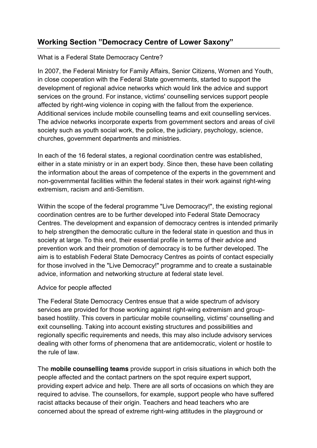## **Working Section "Democracy Centre of Lower Saxony"**

## What is a Federal State Democracy Centre?

In 2007, the Federal Ministry for Family Affairs, Senior Citizens, Women and Youth, in close cooperation with the Federal State governments, started to support the development of regional advice networks which would link the advice and support services on the ground. For instance, victims' counselling services support people affected by right-wing violence in coping with the fallout from the experience. Additional services include mobile counselling teams and exit counselling services. The advice networks incorporate experts from government sectors and areas of civil society such as youth social work, the police, the judiciary, psychology, science, churches, government departments and ministries.

In each of the 16 federal states, a regional coordination centre was established, either in a state ministry or in an expert body. Since then, these have been collating the information about the areas of competence of the experts in the government and non-governmental facilities within the federal states in their work against right-wing extremism, racism and anti-Semitism.

Within the scope of the federal programme "Live Democracy!", the existing regional coordination centres are to be further developed into Federal State Democracy Centres. The development and expansion of democracy centres is intended primarily to help strengthen the democratic culture in the federal state in question and thus in society at large. To this end, their essential profile in terms of their advice and prevention work and their promotion of democracy is to be further developed. The aim is to establish Federal State Democracy Centres as points of contact especially for those involved in the "Live Democracy!" programme and to create a sustainable advice, information and networking structure at federal state level.

### Advice for people affected

The Federal State Democracy Centres ensue that a wide spectrum of advisory services are provided for those working against right-wing extremism and groupbased hostility. This covers in particular mobile counselling, victims' counselling and exit counselling. Taking into account existing structures and possibilities and regionally specific requirements and needs, this may also include advisory services dealing with other forms of phenomena that are antidemocratic, violent or hostile to the rule of law.

The **mobile counselling teams** provide support in crisis situations in which both the people affected and the contact partners on the spot require expert support, providing expert advice and help. There are all sorts of occasions on which they are required to advise. The counsellors, for example, support people who have suffered racist attacks because of their origin. Teachers and head teachers who are concerned about the spread of extreme right-wing attitudes in the playground or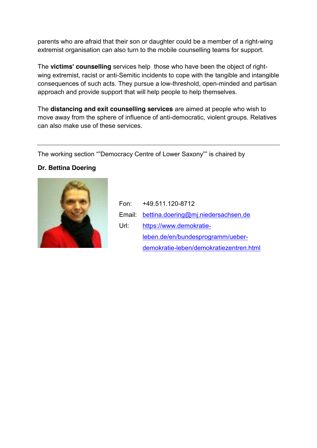parents who are afraid that their son or daughter could be a member of a right-wing extremist organisation can also turn to the mobile counselling teams for support.

The **victims' counselling** services help those who have been the object of rightwing extremist, racist or anti-Semitic incidents to cope with the tangible and intangible consequences of such acts. They pursue a low-threshold, open-minded and partisan approach and provide support that will help people to help themselves.

The **distancing and exit counselling services** are aimed at people who wish to move away from the sphere of influence of anti-democratic, violent groups. Relatives can also make use of these services.

The working section ""Democracy Centre of Lower Saxony"" is chaired by

## **Dr. Bettina Doering**



|      | Fon: +49.511.120-8712                      |
|------|--------------------------------------------|
|      | Email: bettina.doering@mj.niedersachsen.de |
| Url: | https://www.demokratie-                    |
|      | leben.de/en/bundesprogramm/ueber-          |
|      | demokratie-leben/demokratiezentren.html    |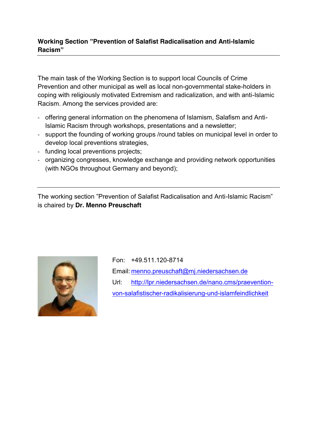## **Working Section "Prevention of Salafist Radicalisation and Anti-Islamic Racism"**

The main task of the Working Section is to support local Councils of Crime Prevention and other municipal as well as local non-governmental stake-holders in coping with religiously motivated Extremism and radicalization, and with anti-Islamic Racism. Among the services provided are:

- offering general information on the phenomena of Islamism, Salafism and Anti-Islamic Racism through workshops, presentations and a newsletter;
- support the founding of working groups /round tables on municipal level in order to develop local preventions strategies,
- funding local preventions projects;
- organizing congresses, knowledge exchange and providing network opportunities (with NGOs throughout Germany and beyond);

The working section "Prevention of Salafist Radicalisation and Anti-Islamic Racism" is chaired by **Dr. Menno Preuschaft**



Fon: +49.511.120-8714 Email: [menno.preuschaft@mj.niedersachsen.de](mailto:menno.preuschaft@mj.niedersachsen.de) Url: [http://lpr.niedersachsen.de/nano.cms/praevention](http://lpr.niedersachsen.de/nano.cms/praevention-von-salafistischer-radikalisierung-und-islamfeindlichkeit)[von-salafistischer-radikalisierung-und-islamfeindlichkeit](http://lpr.niedersachsen.de/nano.cms/praevention-von-salafistischer-radikalisierung-und-islamfeindlichkeit)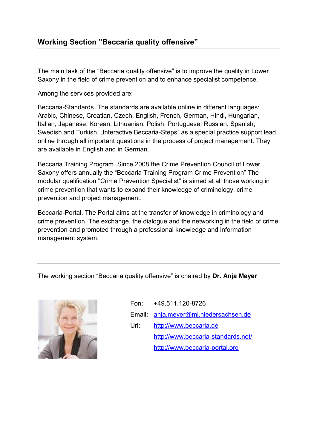## **Working Section "Beccaria quality offensive"**

The main task of the "Beccaria quality offensive" is to improve the quality in Lower Saxony in the field of crime prevention and to enhance specialist competence.

Among the services provided are:

Beccaria-Standards. The standards are available online in different languages: Arabic, Chinese, Croatian, Czech, English, French, German, Hindi, Hungarian, Italian, Japanese, Korean, Lithuanian, Polish, Portuguese, Russian, Spanish, Swedish and Turkish. "Interactive Beccaria-Steps" as a special practice support lead online through all important questions in the process of project management. They are available in English and in German.

Beccaria Training Program. Since 2008 the Crime Prevention Council of Lower Saxony offers annually the "Beccaria Training Program Crime Prevention" The modular qualification "Crime Prevention Specialist" is aimed at all those working in crime prevention that wants to expand their knowledge of criminology, crime prevention and project management.

Beccaria-Portal. The Portal aims at the transfer of knowledge in criminology and crime prevention. The exchange, the dialogue and the networking in the field of crime prevention and promoted through a professional knowledge and information management system.

The working section "Beccaria quality offensive" is chaired by **Dr. Anja Meyer**



Fon: +49.511.120-8726

Email: [anja.meyer@mj.niedersachsen.de](mailto:anja.meyer@mj.niedersachsen.de)

Url: [http://www.beccaria.de](http://www.beccaria.de/) <http://www.beccaria-standards.net/> [http://www.beccaria-portal.org](http://www.beccaria-portal.org/)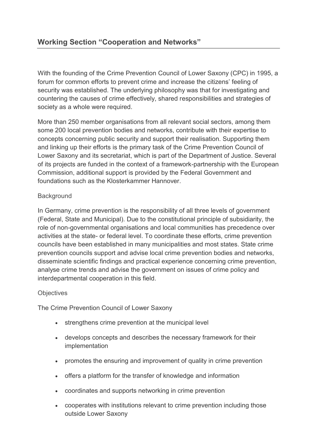With the founding of the Crime Prevention Council of Lower Saxony (CPC) in 1995, a forum for common efforts to prevent crime and increase the citizens' feeling of security was established. The underlying philosophy was that for investigating and countering the causes of crime effectively, shared responsibilities and strategies of society as a whole were required.

More than 250 member organisations from all relevant social sectors, among them some 200 local prevention bodies and networks, contribute with their expertise to concepts concerning public security and support their realisation. Supporting them and linking up their efforts is the primary task of the Crime Prevention Council of Lower Saxony and its secretariat, which is part of the Department of Justice. Several of its projects are funded in the context of a framework-partnership with the European Commission, additional support is provided by the Federal Government and foundations such as the Klosterkammer Hannover.

### **Background**

In Germany, crime prevention is the responsibility of all three levels of government (Federal, State and Municipal). Due to the constitutional principle of subsidiarity, the role of non-governmental organisations and local communities has precedence over activities at the state- or federal level. To coordinate these efforts, crime prevention councils have been established in many municipalities and most states. State crime prevention councils support and advise local crime prevention bodies and networks, disseminate scientific findings and practical experience concerning crime prevention, analyse crime trends and advise the government on issues of crime policy and interdepartmental cooperation in this field.

### **Objectives**

The Crime Prevention Council of Lower Saxony

- strengthens crime prevention at the municipal level
- develops concepts and describes the necessary framework for their implementation
- promotes the ensuring and improvement of quality in crime prevention
- offers a platform for the transfer of knowledge and information
- coordinates and supports networking in crime prevention
- cooperates with institutions relevant to crime prevention including those outside Lower Saxony